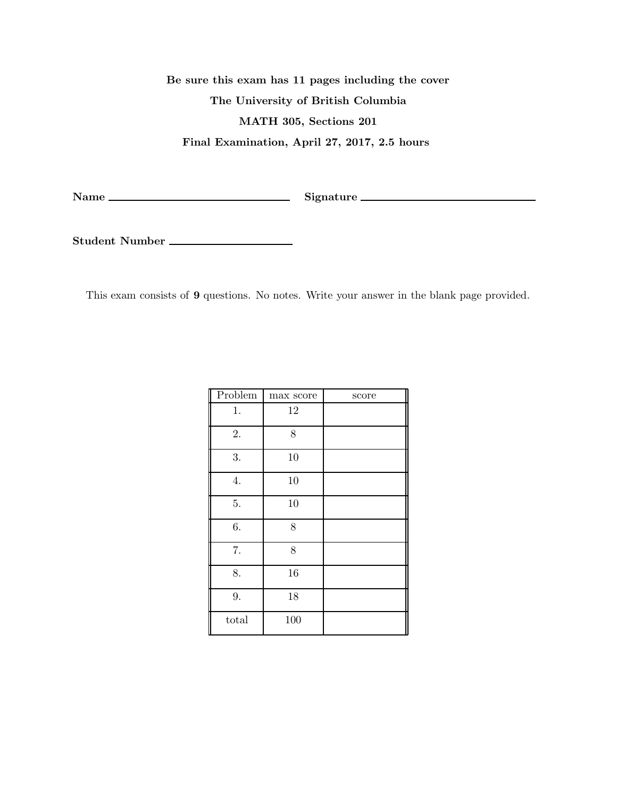Be sure this exam has 11 pages including the cover The University of British Columbia MATH 305, Sections 201 Final Examination, April 27, 2017, 2.5 hours

Name Signature

Student Number

This exam consists of 9 questions. No notes. Write your answer in the blank page provided.

| Problem | max score | score |
|---------|-----------|-------|
| 1.      | $12\,$    |       |
| 2.      | 8         |       |
| 3.      | 10        |       |
| 4.      | 10        |       |
| 5.      | 10        |       |
| $6. \,$ | 8         |       |
| 7.      | 8         |       |
| 8.      | 16        |       |
| 9.      | 18        |       |
| total   | 100       |       |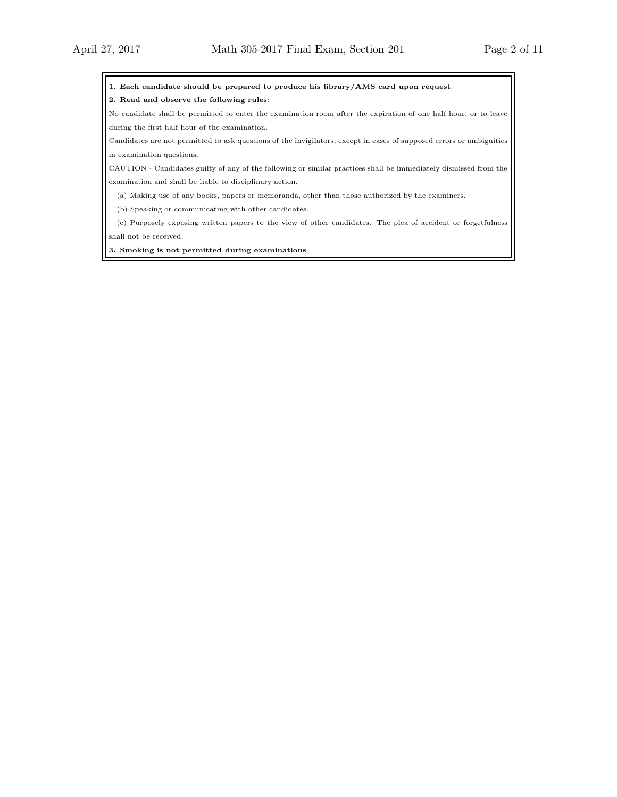1. Each candidate should be prepared to produce his library/AMS card upon request.

2. Read and observe the following rules:

No candidate shall be permitted to enter the examination room after the expiration of one half hour, or to leave during the first half hour of the examination.

Candidates are not permitted to ask questions of the invigilators, except in cases of supposed errors or ambiguities in examination questions.

CAUTION - Candidates guilty of any of the following or similar practices shall be immediately dismissed from the examination and shall be liable to disciplinary action.

(a) Making use of any books, papers or memoranda, other than those authorized by the examiners.

(b) Speaking or communicating with other candidates.

(c) Purposely exposing written papers to the view of other candidates. The plea of accident or forgetfulness shall not be received.

3. Smoking is not permitted during examinations.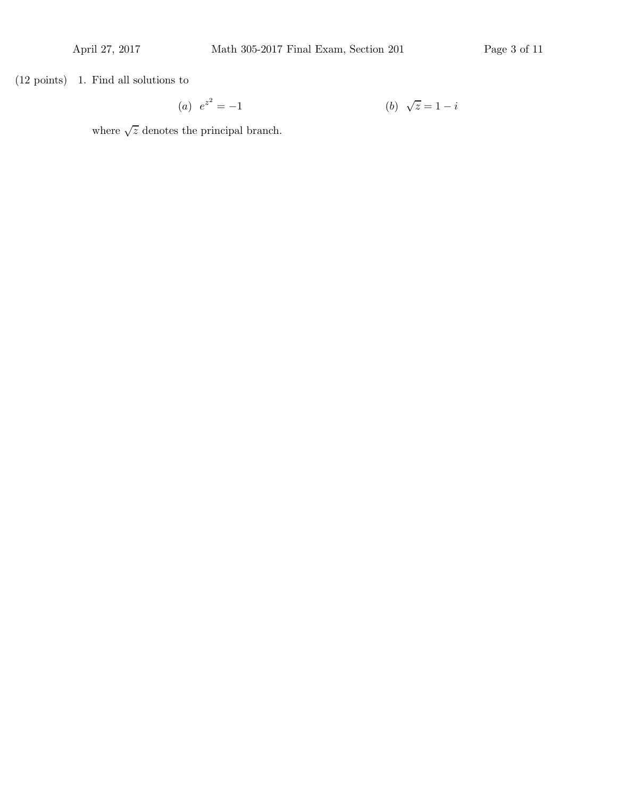(12 points) 1. Find all solutions to

(a) 
$$
e^{z^2} = -1
$$
   
 (b)  $\sqrt{z} = 1 - i$ 

where  $\sqrt{z}$  denotes the principal branch.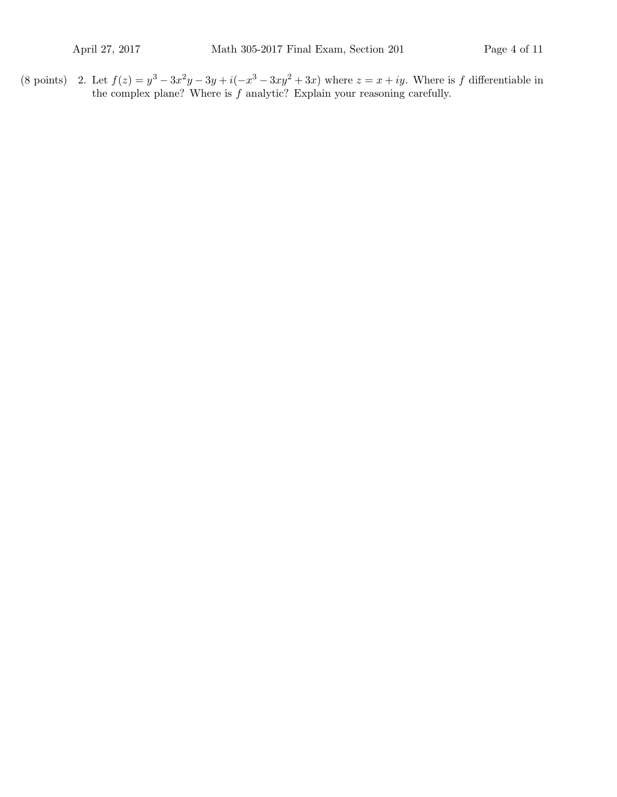(8 points) 2. Let  $f(z) = y^3 - 3x^2y - 3y + i(-x^3 - 3xy^2 + 3x)$  where  $z = x + iy$ . Where is f differentiable in the complex plane? Where is  $f$  analytic? Explain your reasoning carefully.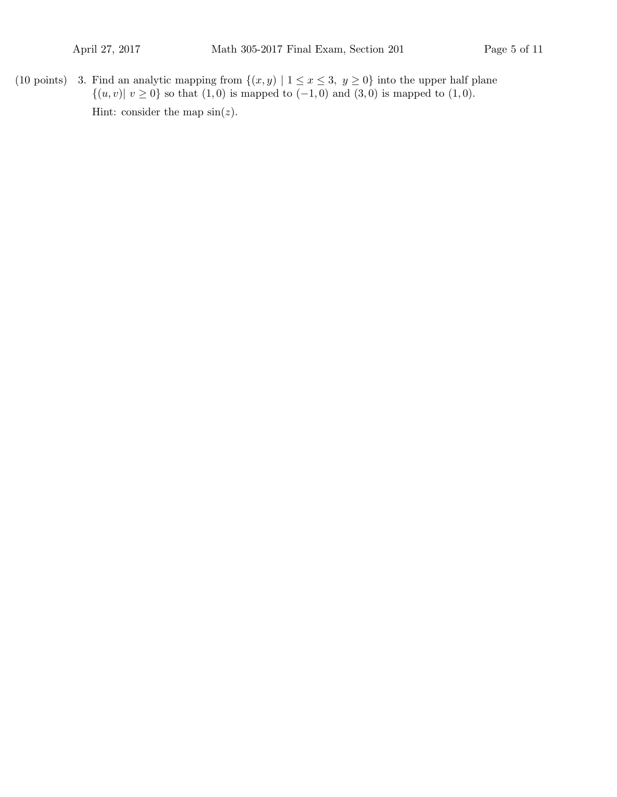(10 points) 3. Find an analytic mapping from  $\{(x, y) | 1 \le x \le 3, y \ge 0\}$  into the upper half plane  $\{(u, v) | v \ge 0\}$  so that  $(1, 0)$  is mapped to  $(-1, 0)$  and  $(3, 0)$  is mapped to  $(1, 0)$ . Hint: consider the map  $sin(z)$ .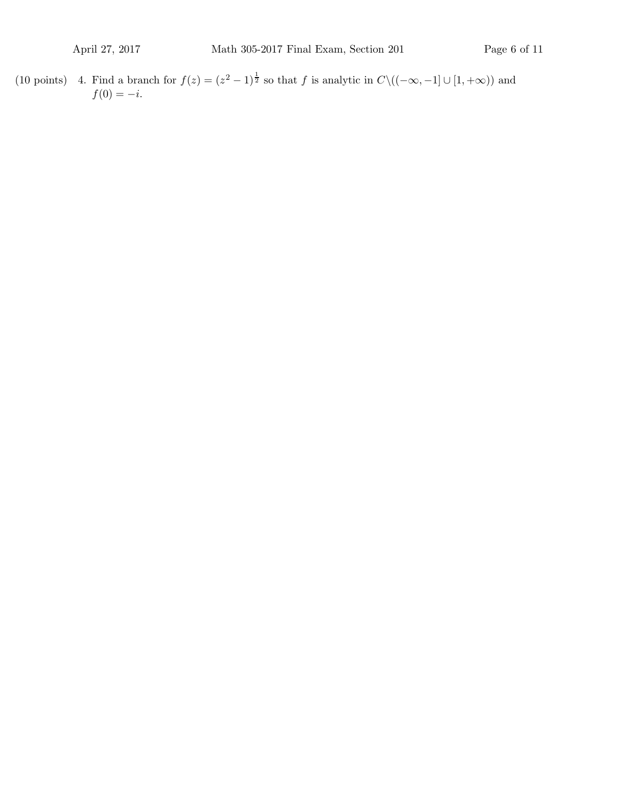(10 points) 4. Find a branch for  $f(z) = (z^2 - 1)^{\frac{1}{2}}$  so that f is analytic in  $C \setminus ((-\infty, -1] \cup [1, +\infty))$  and  $f(0) = -i.$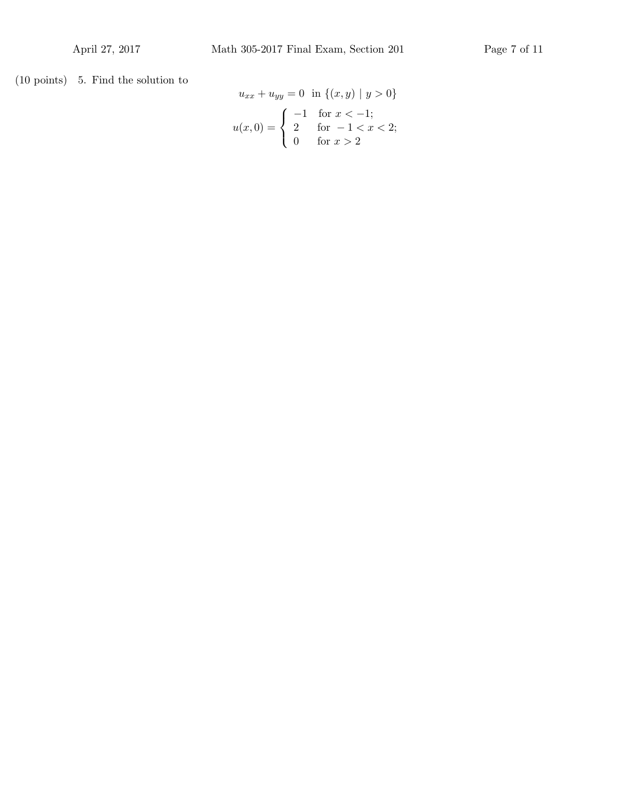(10 points) 5. Find the solution to

$$
u_{xx} + u_{yy} = 0 \text{ in } \{(x, y) \mid y > 0\}
$$

$$
u(x, 0) = \begin{cases} -1 & \text{for } x < -1; \\ 2 & \text{for } -1 < x < 2; \\ 0 & \text{for } x > 2 \end{cases}
$$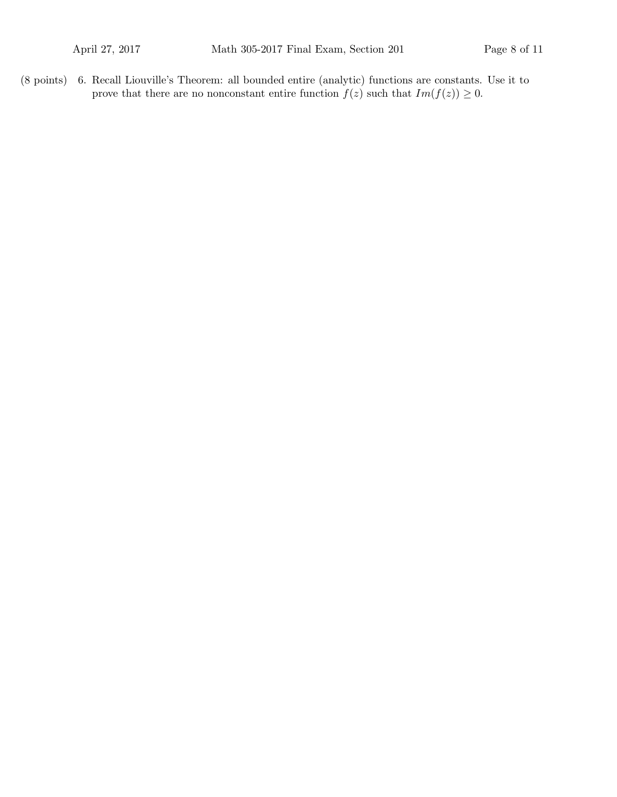(8 points) 6. Recall Liouville's Theorem: all bounded entire (analytic) functions are constants. Use it to prove that there are no nonconstant entire function  $f(z)$  such that  $Im(f(z)) \geq 0$ .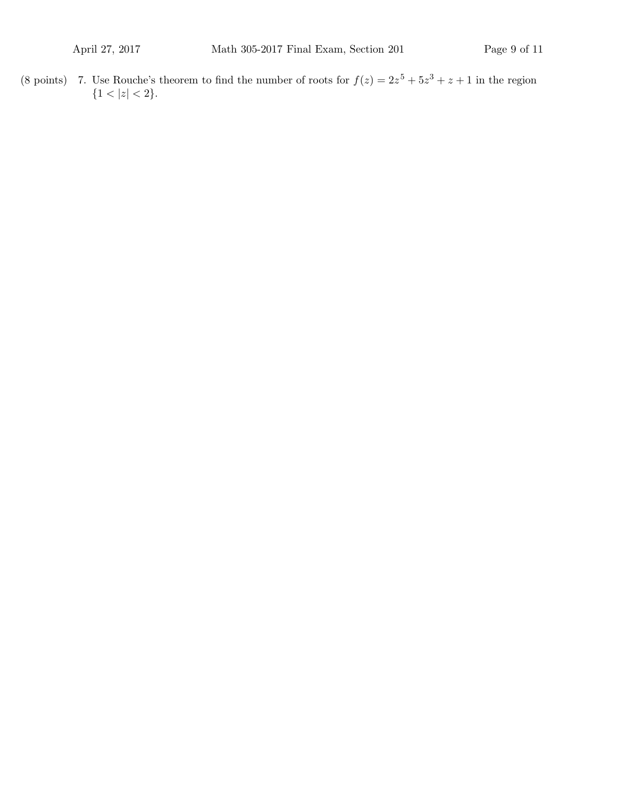(8 points) 7. Use Rouche's theorem to find the number of roots for  $f(z) = 2z^5 + 5z^3 + z + 1$  in the region  ${1 < |z| < 2}.$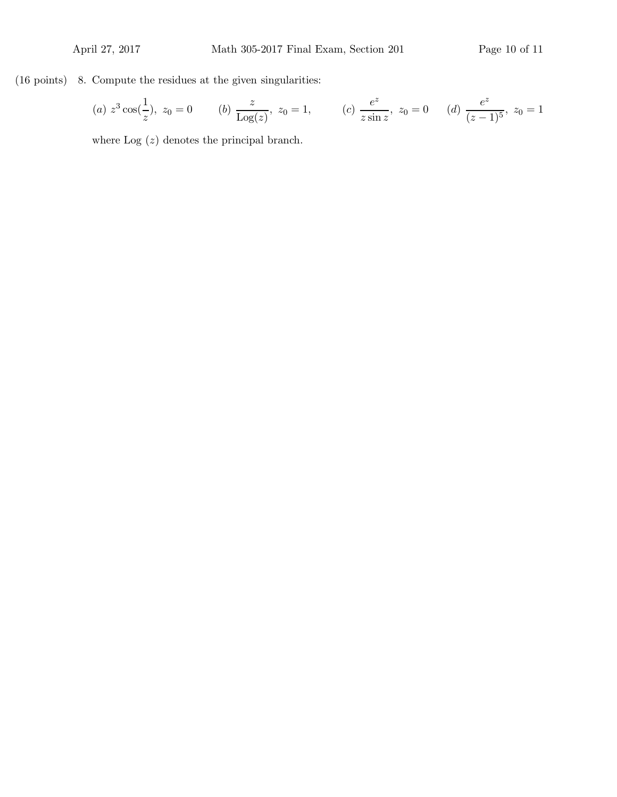(16 points) 8. Compute the residues at the given singularities:

(a) 
$$
z^3 \cos(\frac{1}{z})
$$
,  $z_0 = 0$  (b)  $\frac{z}{\text{Log}(z)}$ ,  $z_0 = 1$ , (c)  $\frac{e^z}{z \sin z}$ ,  $z_0 = 0$  (d)  $\frac{e^z}{(z-1)^5}$ ,  $z_0 = 1$ 

where  $Log(z)$  denotes the principal branch.